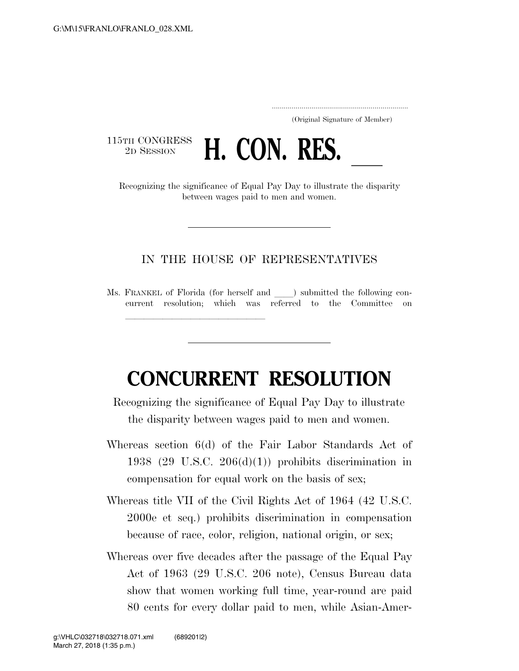..................................................................... (Original Signature of Member)

115TH CONGRESS<br>2D SESSION



between wages paid to men and women.

## IN THE HOUSE OF REPRESENTATIVES

Ms. FRANKEL of Florida (for herself and ) submitted the following concurrent resolution; which was referred to the Committee on

llland and a state of the state of the state of the state of the state of the state of the state of the state o

## **CONCURRENT RESOLUTION**

Recognizing the significance of Equal Pay Day to illustrate the disparity between wages paid to men and women.

- Whereas section 6(d) of the Fair Labor Standards Act of 1938 (29 U.S.C. 206(d)(1)) prohibits discrimination in compensation for equal work on the basis of sex;
- Whereas title VII of the Civil Rights Act of 1964 (42 U.S.C. 2000e et seq.) prohibits discrimination in compensation because of race, color, religion, national origin, or sex;
- Whereas over five decades after the passage of the Equal Pay Act of 1963 (29 U.S.C. 206 note), Census Bureau data show that women working full time, year-round are paid 80 cents for every dollar paid to men, while Asian-Amer-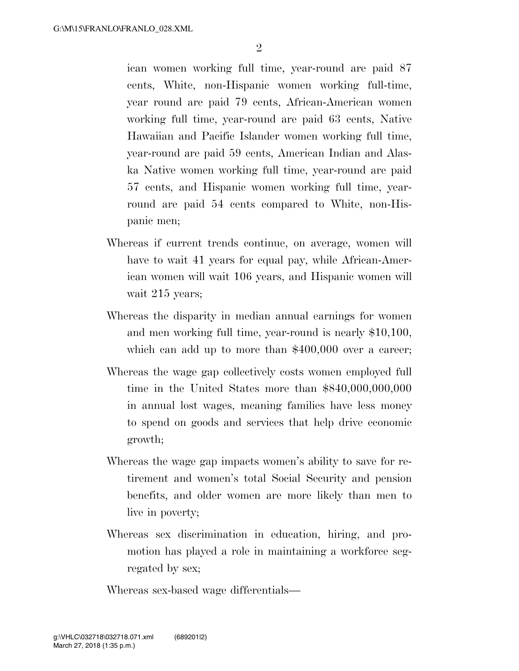ican women working full time, year-round are paid 87 cents, White, non-Hispanic women working full-time, year round are paid 79 cents, African-American women working full time, year-round are paid 63 cents, Native Hawaiian and Pacific Islander women working full time, year-round are paid 59 cents, American Indian and Alaska Native women working full time, year-round are paid 57 cents, and Hispanic women working full time, yearround are paid 54 cents compared to White, non-Hispanic men;

- Whereas if current trends continue, on average, women will have to wait 41 years for equal pay, while African-American women will wait 106 years, and Hispanic women will wait 215 years;
- Whereas the disparity in median annual earnings for women and men working full time, year-round is nearly \$10,100, which can add up to more than \$400,000 over a career;
- Whereas the wage gap collectively costs women employed full time in the United States more than \$840,000,000,000 in annual lost wages, meaning families have less money to spend on goods and services that help drive economic growth;
- Whereas the wage gap impacts women's ability to save for retirement and women's total Social Security and pension benefits, and older women are more likely than men to live in poverty;
- Whereas sex discrimination in education, hiring, and promotion has played a role in maintaining a workforce segregated by sex;

Whereas sex-based wage differentials—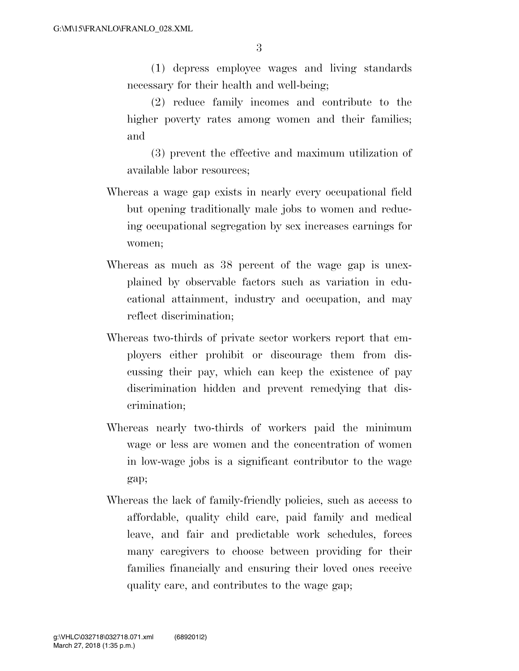(1) depress employee wages and living standards necessary for their health and well-being;

(2) reduce family incomes and contribute to the higher poverty rates among women and their families; and

(3) prevent the effective and maximum utilization of available labor resources;

- Whereas a wage gap exists in nearly every occupational field but opening traditionally male jobs to women and reducing occupational segregation by sex increases earnings for women;
- Whereas as much as 38 percent of the wage gap is unexplained by observable factors such as variation in educational attainment, industry and occupation, and may reflect discrimination;
- Whereas two-thirds of private sector workers report that employers either prohibit or discourage them from discussing their pay, which can keep the existence of pay discrimination hidden and prevent remedying that discrimination;
- Whereas nearly two-thirds of workers paid the minimum wage or less are women and the concentration of women in low-wage jobs is a significant contributor to the wage gap;
- Whereas the lack of family-friendly policies, such as access to affordable, quality child care, paid family and medical leave, and fair and predictable work schedules, forces many caregivers to choose between providing for their families financially and ensuring their loved ones receive quality care, and contributes to the wage gap;